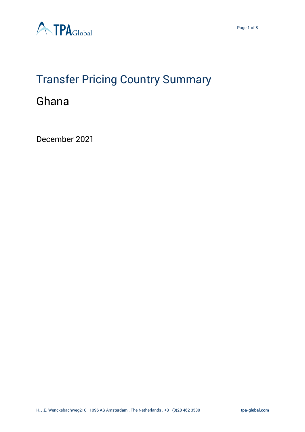

# Transfer Pricing Country Summary

# Ghana

December 2021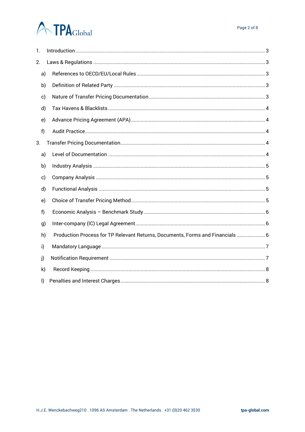# **ATPA**Global

| 1.           |                                                                                |
|--------------|--------------------------------------------------------------------------------|
| 2.           |                                                                                |
| a)           |                                                                                |
| b)           |                                                                                |
| c)           |                                                                                |
| d)           |                                                                                |
| e)           |                                                                                |
| f)           |                                                                                |
| 3.           |                                                                                |
| a)           |                                                                                |
| b)           |                                                                                |
| c)           |                                                                                |
| d)           |                                                                                |
| e)           |                                                                                |
| f            |                                                                                |
| g)           |                                                                                |
| h)           | Production Process for TP Relevant Returns, Documents, Forms and Financials  6 |
| i)           |                                                                                |
| j)           |                                                                                |
| $\mathsf{k}$ |                                                                                |
| I)           |                                                                                |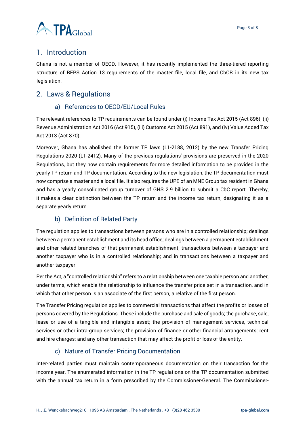

# <span id="page-2-0"></span>1. Introduction

Ghana is not a member of OECD. However, it has recently implemented the three-tiered reporting structure of BEPS Action 13 requirements of the master file, local file, and CbCR in its new tax legislation.

# <span id="page-2-2"></span><span id="page-2-1"></span>2. Laws & Regulations

#### a) References to OECD/EU/Local Rules

The relevant references to TP requirements can be found under (i) Income Tax Act 2015 (Act 896), (ii) Revenue Administration Act 2016 (Act 915), (iii) Customs Act 2015 (Act 891), and (iv) Value Added Tax Act 2013 (Act 870).

Moreover, Ghana has abolished the former TP laws (L1-2188, 2012) by the new Transfer Pricing Regulations 2020 (L1-2412). Many of the previous regulations' provisions are preserved in the 2020 Regulations, but they now contain requirements for more detailed information to be provided in the yearly TP return and TP documentation. According to the new legislation, the TP documentation must now comprise a master and a local file. It also requires the UPE of an MNE Group tax resident in Ghana and has a yearly consolidated group turnover of GHS 2.9 billion to submit a CbC report. Thereby, it makes a clear distinction between the TP return and the income tax return, designating it as a separate yearly return.

#### b) Definition of Related Party

<span id="page-2-3"></span>The regulation applies to transactions between persons who are in a controlled relationship; dealings between a permanent establishment and its head office; dealings between a permanent establishment and other related branches of that permanent establishment; transactions between a taxpayer and another taxpayer who is in a controlled relationship; and in transactions between a taxpayer and another taxpayer.

Per the Act, a "controlled relationship" refers to a relationship between one taxable person and another, under terms, which enable the relationship to influence the transfer price set in a transaction, and in which that other person is an associate of the first person, a relative of the first person.

The Transfer Pricing regulation applies to commercial transactions that affect the profits or losses of persons covered by the Regulations. These include the purchase and sale of goods; the purchase, sale, lease or use of a tangible and intangible asset; the provision of management services, technical services or other intra-group services; the provision of finance or other financial arrangements; rent and hire charges; and any other transaction that may affect the profit or loss of the entity.

#### c) Nature of Transfer Pricing Documentation

<span id="page-2-4"></span>Inter-related parties must maintain contemporaneous documentation on their transaction for the income year. The enumerated information in the TP regulations on the TP documentation submitted with the annual tax return in a form prescribed by the Commissioner-General. The Commissioner-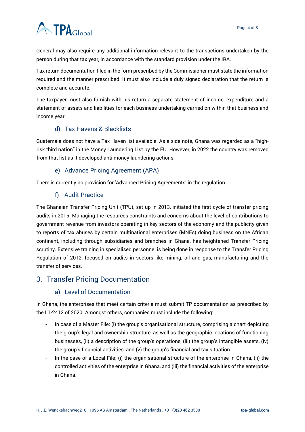# **ATPA**Global

General may also require any additional information relevant to the transactions undertaken by the person during that tax year, in accordance with the standard provision under the IRA.

Tax return documentation filed in the form prescribed by the Commissioner must state the information required and the manner prescribed. It must also include a duly signed declaration that the return is complete and accurate.

The taxpayer must also furnish with his return a separate statement of income, expenditure and a statement of assets and liabilities for each business undertaking carried on within that business and income year.

## d) Tax Havens & Blacklists

<span id="page-3-0"></span>Guatemala does not have a Tax Haven list available. As a side note, Ghana was regarded as a "highrisk third nation" in the Money Laundering List by the EU. However, in 2022 the country was removed from that list as it developed anti money laundering actions.

## e) Advance Pricing Agreement (APA)

<span id="page-3-2"></span><span id="page-3-1"></span>There is currently no provision for 'Advanced Pricing Agreements' in the regulation.

#### f) Audit Practice

The Ghanaian Transfer Pricing Unit (TPU), set up in 2013, initiated the first cycle of transfer pricing audits in 2015. Managing the resources constraints and concerns about the level of contributions to government revenue from investors operating in key sectors of the economy and the publicity given to reports of tax abuses by certain multinational enterprises (MNEs) doing business on the African continent, including through subsidiaries and branches in Ghana, has heightened Transfer Pricing scrutiny. Extensive training in specialised personnel is being done in response to the Transfer Pricing Regulation of 2012, focused on audits in sectors like mining, oil and gas, manufacturing and the transfer of services.

## <span id="page-3-4"></span><span id="page-3-3"></span>3. Transfer Pricing Documentation

#### a) Level of Documentation

In Ghana, the enterprises that meet certain criteria must submit TP documentation as prescribed by the L1-2412 of 2020. Amongst others, companies must include the following:

- In case of a Master File; (i) the group's organisational structure, comprising a chart depicting the group's legal and ownership structure, as well as the geographic locations of functioning businesses, (ii) a description of the group's operations, (iii) the group's intangible assets, (iv) the group's financial activities, and (v) the group's financial and tax situation.
- In the case of a Local File; (i) the organisational structure of the enterprise in Ghana, (ii) the controlled activities of the enterprise in Ghana, and (iii) the financial activities of the enterprise in Ghana.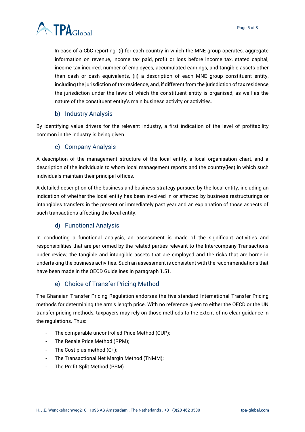

In case of a CbC reporting; (i) for each country in which the MNE group operates, aggregate information on revenue, income tax paid, profit or loss before income tax, stated capital, income tax incurred, number of employees, accumulated earnings, and tangible assets other than cash or cash equivalents, (ii) a description of each MNE group constituent entity, including the jurisdiction of tax residence, and, if different from the jurisdiction of tax residence, the jurisdiction under the laws of which the constituent entity is organised, as well as the nature of the constituent entity's main business activity or activities.

#### b) Industry Analysis

<span id="page-4-0"></span>By identifying value drivers for the relevant industry, a first indication of the level of profitability common in the industry is being given.

#### c) Company Analysis

<span id="page-4-1"></span>A description of the management structure of the local entity, a local organisation chart, and a description of the individuals to whom local management reports and the country(ies) in which such individuals maintain their principal offices.

A detailed description of the business and business strategy pursued by the local entity, including an indication of whether the local entity has been involved in or affected by business restructurings or intangibles transfers in the present or immediately past year and an explanation of those aspects of such transactions affecting the local entity.

#### d) Functional Analysis

<span id="page-4-2"></span>In conducting a functional analysis, an assessment is made of the significant activities and responsibilities that are performed by the related parties relevant to the Intercompany Transactions under review, the tangible and intangible assets that are employed and the risks that are borne in undertaking the business activities. Such an assessment is consistent with the recommendations that have been made in the OECD Guidelines in paragraph 1.51.

#### e) Choice of Transfer Pricing Method

<span id="page-4-3"></span>The Ghanaian Transfer Pricing Regulation endorses the five standard International Transfer Pricing methods for determining the arm's length price. With no reference given to either the OECD or the UN transfer pricing methods, taxpayers may rely on those methods to the extent of no clear guidance in the regulations. Thus:

- The comparable uncontrolled Price Method (CUP);
- The Resale Price Method (RPM);
- The Cost plus method (C+);
- The Transactional Net Margin Method (TNMM);
- The Profit Split Method (PSM)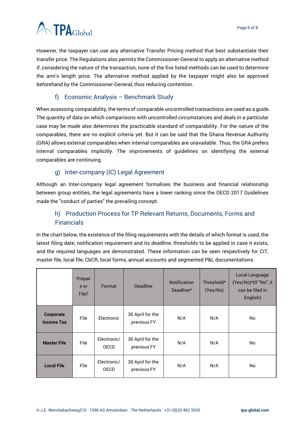

However, the taxpayer can use any alternative Transfer Pricing method that best substantiate their transfer price. The Regulations also permits the Commissioner-General to apply an alternative method if, considering the nature of the transaction, none of the five listed methods can be used to determine the arm's length price. The alternative method applied by the taxpayer might also be approved beforehand by the Commissioner-General, thus reducing contention.

#### f) Economic Analysis – Benchmark Study

<span id="page-5-0"></span>When assessing comparability, the terms of comparable uncontrolled transactions are used as a guide. The quantity of data on which comparisons with uncontrolled circumstances and deals in a particular case may be made also determines the practicable standard of comparability. For the nature of the comparables, there are no explicit criteria yet. But it can be said that the Ghana Revenue Authority (GRA) allows external comparables when internal comparables are unavailable. Thus, the GRA prefers internal comparables implicitly. The improvements of guidelines on identifying the external comparables are continuing.

#### g) Inter-company (IC) Legal Agreement

<span id="page-5-1"></span>Although an Inter-company legal agreement formalises the business and financial relationship between group entities, the legal agreements have a lower ranking since the OECD 2017 Guidelines made the "conduct of parties" the prevailing concept.

# <span id="page-5-2"></span>h) Production Process for TP Relevant Returns, Documents, Forms and **Financials**

In the chart below, the existence of the filing requirements with the details of which format is used, the latest filing date, notification requirement and its deadline, thresholds to be applied in case it exists, and the required languages are demonstrated. These information can be seen respectively for CIT, master file, local file, CbCR, local forms, annual accounts and segmented P&L documentations.

|                                | Prepar<br>e or<br>File? | Format                     | <b>Deadline</b>                 | <b>Notification</b><br>Deadline* | Threshold*<br>(Yes/No) | Local Language<br>(Yes/No)*(If "No", it<br>can be filed in<br>English) |
|--------------------------------|-------------------------|----------------------------|---------------------------------|----------------------------------|------------------------|------------------------------------------------------------------------|
| Corporate<br><b>Income Tax</b> | File                    | Electronic                 | 30 April for the<br>previous FY | N/A                              | N/A                    | No                                                                     |
| <b>Master File</b>             | File                    | Electronic/<br><b>OECD</b> | 30 April for the<br>previous FY | N/A                              | N/A                    | No                                                                     |
| <b>Local File</b>              | <b>File</b>             | Electronic/<br><b>OECD</b> | 30 April for the<br>previous FY | N/A                              | N/A                    | No                                                                     |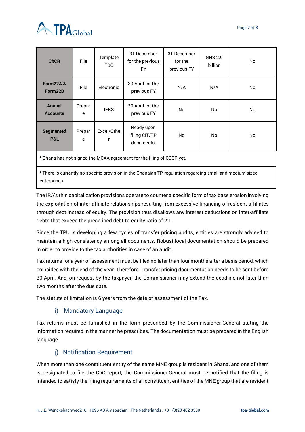

| <b>CbCR</b>                      | File        | Template<br><b>TBC</b> | 31 December<br>for the previous<br><b>FY</b> | 31 December<br>for the<br>previous FY | GHS 2.9<br>billion | No |
|----------------------------------|-------------|------------------------|----------------------------------------------|---------------------------------------|--------------------|----|
| <b>Form22A&amp;</b><br>Form22B   | File        | Electronic             | 30 April for the<br>previous FY              | N/A                                   | N/A                | No |
| <b>Annual</b><br><b>Accounts</b> | Prepar<br>e | <b>IFRS</b>            | 30 April for the<br>previous FY              | No                                    | No                 | No |
| <b>Segmented</b><br>P&L          | Prepar<br>e | Excel/Othe<br>r        | Ready upon<br>filing CIT/TP<br>documents.    | No.                                   | No                 | No |

\* Ghana has not signed the MCAA agreement for the filing of CBCR yet.

\* There is currently no specific provision in the Ghanaian TP regulation regarding small and medium sized enterprises.

The IRA's thin capitalization provisions operate to counter a specific form of tax base erosion involving the exploitation of inter-affiliate relationships resulting from excessive financing of resident affiliates through debt instead of equity. The provision thus disallows any interest deductions on inter-affiliate debts that exceed the prescribed debt-to-equity ratio of 2:1.

Since the TPU is developing a few cycles of transfer pricing audits, entities are strongly advised to maintain a high consistency among all documents. Robust local documentation should be prepared in order to provide to the tax authorities in case of an audit.

Tax returns for a year of assessment must be filed no later than four months after a basis period, which coincides with the end of the year. Therefore, Transfer pricing documentation needs to be sent before 30 April. And, on request by the taxpayer, the Commissioner may extend the deadline not later than two months after the due date.

<span id="page-6-0"></span>The statute of limitation is 6 years from the date of assessment of the Tax.

#### i) Mandatory Language

Tax returns must be furnished in the form prescribed by the Commissioner-General stating the information required in the manner he prescribes. The documentation must be prepared in the English language.

#### j) Notification Requirement

<span id="page-6-1"></span>When more than one constituent entity of the same MNE group is resident in Ghana, and one of them is designated to file the CbC report, the Commissioner-General must be notified that the filing is intended to satisfy the filing requirements of all constituent entities of the MNE group that are resident